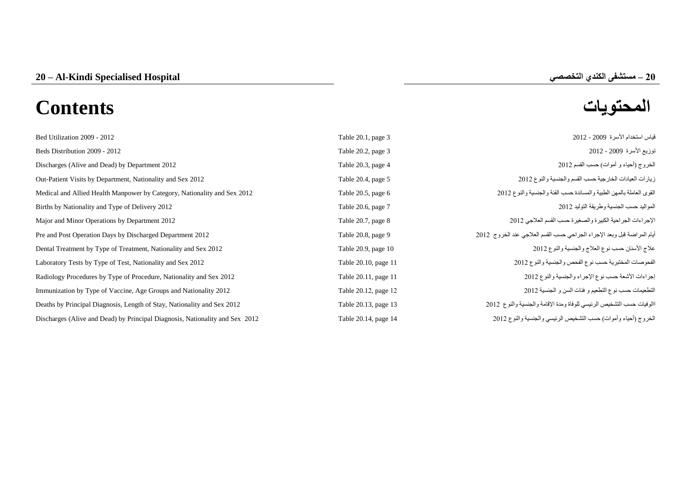# **المحتويات Contents**

| Bed Utilization 2009 - 2012                                                  | Table 20.1, page 3   | قياس استخدام الأسرة 2009 - 2012                                         |
|------------------------------------------------------------------------------|----------------------|-------------------------------------------------------------------------|
| Beds Distribution 2009 - 2012                                                | Table 20.2, page 3   | توزيع الأسرة 2009 - 2012                                                |
| Discharges (Alive and Dead) by Department 2012                               | Table 20.3, page 4   | الخروج (أحياء و أموات) حسب القسم 2012                                   |
| Out-Patient Visits by Department, Nationality and Sex 2012                   | Table 20.4, page 5   | زيارات العيادات الخارجية حسب القسم والجنسية والنوع 2012                 |
| Medical and Allied Health Manpower by Category, Nationality and Sex 2012     | Table 20.5, page 6   | القوى العاملة بالمهن الطبية والمساندة حسب الفئة والجنسية والنوع 2012    |
| Births by Nationality and Type of Delivery 2012                              | Table 20.6, page 7   | المواليد حسب الجنسية وطريقة التوليد 2012                                |
| Major and Minor Operations by Department 2012                                | Table 20.7, page 8   | الإجراءات الجراحية الكبيرة والصغيرة حسب القسم العلاجي 2012              |
| Pre and Post Operation Days by Discharged Department 2012                    | Table 20.8, page 9   | أيام المراضة قبل وبعد الإجراء الجراحي حسب القسم العلاجي عند الخروج 2012 |
| Dental Treatment by Type of Treatment, Nationality and Sex 2012              | Table 20.9, page 10  | علاج الأسنان حسب نوع العلاج والجنسية والنوع 2012                        |
| Laboratory Tests by Type of Test, Nationality and Sex 2012                   | Table 20.10, page 11 | الفحوصات المختبرية حسب نوع الفحص والجنسية والنوع 2012                   |
| Radiology Procedures by Type of Procedure, Nationality and Sex 2012          | Table 20.11, page 11 | إجراءات الأشعة حسب نوع الإجراء والجنسية والنوع 2012                     |
| Immunization by Type of Vaccine, Age Groups and Nationality 2012             | Table 20.12, page 12 | التطعيمات حسب نوع التطعيم و فئات السن و الجنسية 2012                    |
| Deaths by Principal Diagnosis, Length of Stay, Nationality and Sex 2012      | Table 20.13, page 13 | االوفيات حسب التشخيص الرئيسي للوفاة ومدة الإقامة والجنسية والنوع 2012   |
| Discharges (Alive and Dead) by Principal Diagnosis, Nationality and Sex 2012 | Table 20.14, page 14 | الخروج (أحياء وأموات) حسب التشخيص الرئيسي والجنسية والنوع 2012          |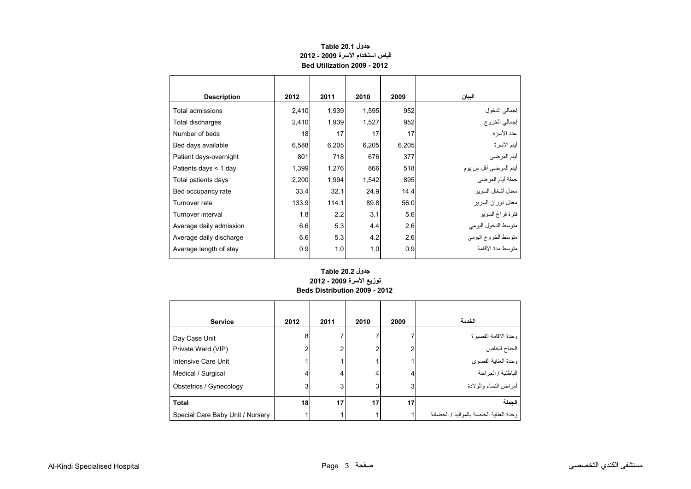<span id="page-1-0"></span>

| <b>Description</b>      | 2012  | 2011  | 2010  | 2009  | البيان                  |
|-------------------------|-------|-------|-------|-------|-------------------------|
| Total admissions        | 2,410 | 1,939 | 1,595 | 952   | إجمالي الدخول           |
| Total discharges        | 2,410 | 1,939 | 1,527 | 952   | إجمالي الخروج           |
| Number of beds          | 18    | 17    | 17    | 17    | عدد الأسر ة             |
| Bed days available      | 6,588 | 6,205 | 6,205 | 6,205 | أيام الأسرة             |
| Patient days-overnight  | 801   | 718   | 676   | 377   | أيام المرضي             |
| Patients days $<$ 1 day | 1,399 | 1,276 | 866   | 518   | أيام المرضىي أقل من يوم |
| Total patients days     | 2,200 | 1,994 | 1,542 | 895   | جملة أيام المرضى        |
| Bed occupancy rate      | 33.4  | 32.1  | 24.9  | 14.4  | معدل أشغال السرير       |
| Turnover rate           | 133.9 | 114.1 | 89.8  | 56.0  | معدل دور ان السر بر     |
| Turnover interval       | 1.8   | 2.2   | 3.1   | 5.6   | فترة فراغ السرير        |
| Average daily admission | 6.6   | 5.3   | 4.4   | 2.6   | متوسط الدخول اليومي     |
| Average daily discharge | 6.6   | 5.3   | 4.2   | 2.6   | متوسط الخروج اليومي     |
| Average length of stay  | 0.9   | 1.0   | 1.0   | 0.9   | منّه سط مدة الأقامة     |

#### **جدول 20.1 Table قياس استخدام األسرة 2009 - 2012 Bed Utilization 2009 - 2012**

#### **توزيع األسرة 2009 - 2012 Beds Distribution 2009 - 2012 جدول 20.2 Table**

| <b>Service</b>                      | 2012   | 2011 | 2010 | 2009 | الخدمة                                     |
|-------------------------------------|--------|------|------|------|--------------------------------------------|
| Day Case Unit<br>Private Ward (VIP) | 8<br>2 | 2    |      |      | وحدة الإقامة القصيرة<br>الجناح الخاص       |
| Intensive Care Unit                 |        |      |      |      | وحدة العناية القصوى                        |
| Medical / Surgical                  | 4      | 4    | 4    | 4    | الباطنية / الجر احة                        |
| Obstetrics / Gynecology             | 3      | 3    |      | 3    | أمراض النساء والولادة                      |
| <b>Total</b>                        | 18     | 17   | 17   | 17   | الحملة                                     |
| Special Care Baby Unit / Nursery    |        |      |      |      | وحدة العنابة الخاصبة بالمو البد / الحضبانة |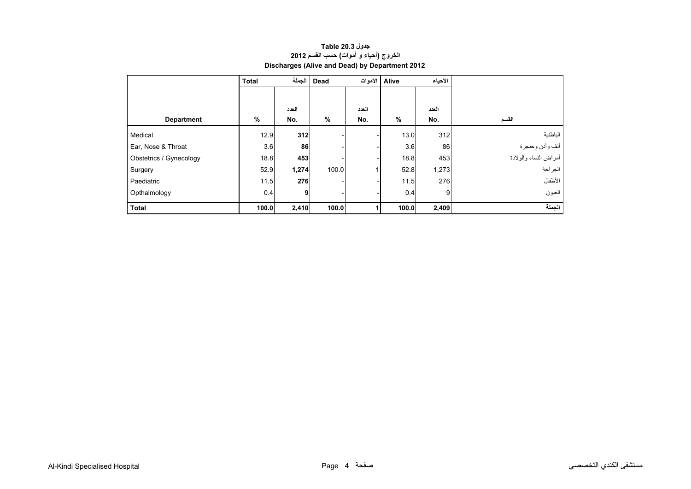### <span id="page-2-0"></span>**األحياء Alive األموات Dead الجملة Total العدد العدد العدد Department % No. % No. % No. القسم** الباطنية 312 13.0 - - **312** 12.9 Medical أنف وأذن وحنجرة وادة المجمع المجمع المجمع المجمع المجمع المجمع المجمع المجمع المجمع المجمع المجمع المجمع المجمع المج<br>المجمع المجمع المجمع المجمع المجمع المجمع المجمع المجمع المجمع المجمع المجمع المجمع المجمع المجمع المجمع المجم أمراض النساء والوالدة <sup>453</sup> 18.8 - - **<sup>453</sup>** 18.8 Gynecology / Obstetrics **Discharges (Alive and Dead) by Department 2012**

الجراحة 1,273 52.8 1 100.0 **1,274** 52.9 Surgery

العيون 9 0.4 - - **9** 0.4 Opthalmology **الجملة 2,409 100.0 <sup>1</sup> 100.0 2,410 100.0 Total** 

Paediatric **11.5** 11.5 **276** - 11.5 276

## **جدول 20.3 Table الخروج (أحياء <sup>و</sup> أموات) حسب القسم <sup>2012</sup>**

الأطفال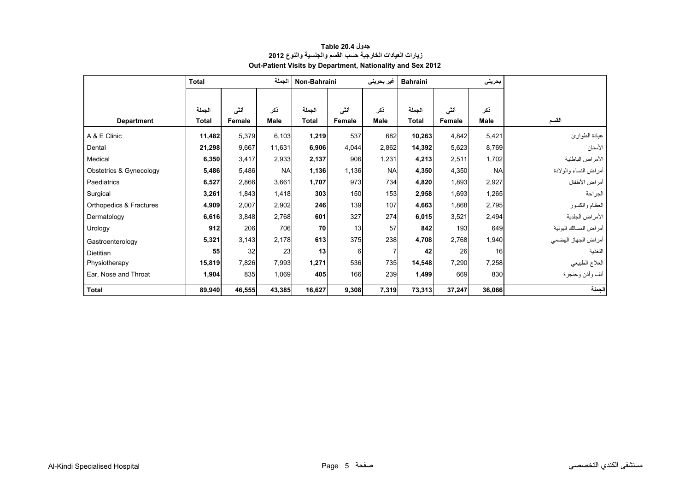<span id="page-3-0"></span>

|                         | <b>Total</b> |        | الجملة    | Non-Bahraini |        | غیر بحرینی     | <b>Bahraini</b> |        | بحريني    |                       |
|-------------------------|--------------|--------|-----------|--------------|--------|----------------|-----------------|--------|-----------|-----------------------|
|                         |              |        |           |              |        |                |                 |        |           |                       |
|                         | الجملة       | أننى   | نكر       | الجملة       | أننى   | نكر            | الجملة          | أنشى   | نكر       |                       |
| <b>Department</b>       | Total        | Female | Male      | <b>Total</b> | Female | <b>Male</b>    | <b>Total</b>    | Female | Male      | القسم                 |
| A & E Clinic            | 11,482       | 5,379  | 6,103     | 1,219        | 537    | 682            | 10,263          | 4,842  | 5,421     | عيادة الطوارئ         |
| Dental                  | 21,298       | 9,667  | 11,631    | 6,906        | 4,044  | 2,862          | 14,392          | 5,623  | 8,769     | الأسنان               |
| Medical                 | 6,350        | 3,417  | 2,933     | 2,137        | 906    | 1,231          | 4,213           | 2,511  | 1,702     | الأمراض الباطنية      |
| Obstetrics & Gynecology | 5,486        | 5,486  | <b>NA</b> | 1,136        | 1,136  | <b>NA</b>      | 4,350           | 4,350  | <b>NA</b> | أمراض النساء والولادة |
| Paediatrics             | 6,527        | 2,866  | 3,661     | 1,707        | 973    | 734            | 4,820           | 1,893  | 2,927     | أمراض الأطفال         |
| Surgical                | 3,261        | 1,843  | 1,418     | 303          | 150    | 153            | 2,958           | 1,693  | 1,265     | الجراحة               |
| Orthopedics & Fractures | 4,909        | 2,007  | 2,902     | 246          | 139    | 107            | 4,663           | 1,868  | 2,795     | العظام والكسور        |
| Dermatology             | 6,616        | 3,848  | 2,768     | 601          | 327    | 274            | 6,015           | 3,521  | 2,494     | الأمراض الجلدية       |
| Urology                 | 912          | 206    | 706       | 70           | 13     | 57             | 842             | 193    | 649       | أمراض المسالك البولية |
| Gastroenterology        | 5,321        | 3,143  | 2,178     | 613          | 375    | 238            | 4,708           | 2,768  | 1,940     | أمراض الجهاز الهضمى   |
| <b>Dietitian</b>        | 55           | 32     | 23        | 13           | 6      | $\overline{7}$ | 42              | 26     | 16        | النغذية               |
| Physiotherapy           | 15,819       | 7,826  | 7,993     | 1,271        | 536    | 735            | 14,548          | 7,290  | 7,258     | العلاج الطبيعي        |
| Ear, Nose and Throat    | 1,904        | 835    | 1,069     | 405          | 166    | 239            | 1,499           | 669    | 830       | أنف وأذن وحنجرة       |
| <b>Total</b>            | 89,940       | 46,555 | 43,385    | 16,627       | 9,308  | 7,319          | 73,313          | 37,247 | 36,066    | الجملة                |

#### **جدول 20.4 Table زيارات العيادات الخارجية حسب القسم والجنسية والنوع <sup>2012</sup> Out-Patient Visits by Department, Nationality and Sex 2012**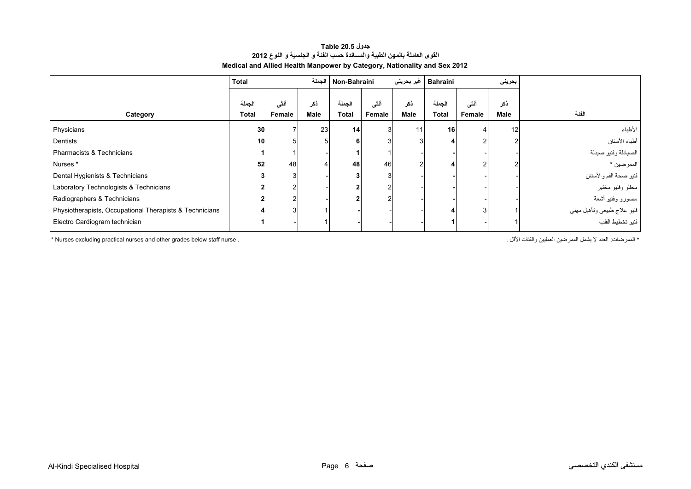#### **جدول 20.5 Table القوى العاملة بالمھن الطبية والمساندة حسب الفئة <sup>و</sup> الجنسية <sup>و</sup> النوع <sup>2012</sup> Medical and Allied Health Manpower by Category, Nationality and Sex 2012**

<span id="page-4-0"></span>

|                                                         | <b>Total</b>    |                | الجملة      | Non-Bahraini           |                |             | Bahraini   غير بحريني |                | بحريني      |                                             |
|---------------------------------------------------------|-----------------|----------------|-------------|------------------------|----------------|-------------|-----------------------|----------------|-------------|---------------------------------------------|
| Category                                                | الجملة<br>Total | أنشى<br>Female | نكر<br>Male | الجملة<br><b>Total</b> | أنشى<br>Female | ذكر<br>Male | الجملة<br>Total       | أننى<br>Female | ذكر<br>Male | الفئة                                       |
| Physicians                                              | 30 <sup>°</sup> |                | 23          | 14                     |                | 11          | 16                    |                | 12          | الأطباء                                     |
| Dentists                                                | 10 <sup>1</sup> | 5              | 5           |                        |                |             |                       |                |             | أطباء الأسنان                               |
| Pharmacists & Technicians                               |                 |                |             |                        |                |             |                       |                |             | الصيادلة وفنيو صيدلة                        |
| Nurses*                                                 | 52              | 48             |             | 48                     | 46             |             |                       |                |             | الممرضين *                                  |
| Dental Hygienists & Technicians                         |                 | 3              |             |                        | 3              |             |                       |                |             | فنيو صحة الفم والأسنان<br>محللو وفنيو مختبر |
| Laboratory Technologists & Technicians                  |                 |                |             |                        |                |             |                       |                |             |                                             |
| Radiographers & Technicians                             |                 |                |             |                        |                |             |                       |                |             | مصىورو وفنيو أشعة                           |
| Physiotherapists, Occupational Therapists & Technicians |                 |                |             |                        |                |             |                       |                |             | فنيو علاج طبيعي وتأهيل مهني                 |
| Electro Cardiogram technician                           |                 |                |             |                        |                |             |                       |                |             |                                             |

\* الممرضين العمليين والفئات الأقل الأقل الأقل الأقل للمعليين والفئات الأقل والفئات الأقل الممرضين العمليين والفئات الأقل الأقل الممرضين الممرضين الممليين والفئات الأقل الأقل المعمليين والفئات الأقل الممرضيين العمليين والف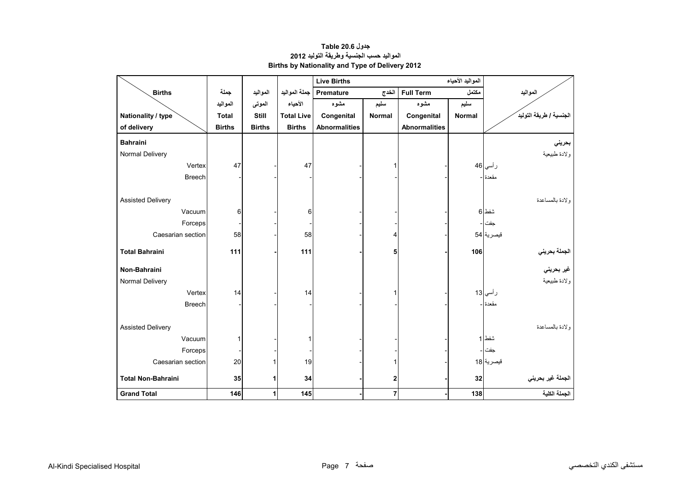<span id="page-5-0"></span>

|                           |               |               |                   | <b>Live Births</b>   |                |                      | المواليد الأحياء |                         |
|---------------------------|---------------|---------------|-------------------|----------------------|----------------|----------------------|------------------|-------------------------|
| <b>Births</b>             | جملة          | المواليد      | جملة المواليد     | Premature            | الخدج          | <b>Full Term</b>     | مكتمل            | المواليد                |
|                           | المواليد      | الموتى        | الأحياء           | مشوه                 | سليم           | مشوه                 | سليم             |                         |
| Nationality / type        | <b>Total</b>  | <b>Still</b>  | <b>Total Live</b> | Congenital           | <b>Normal</b>  | Congenital           | <b>Normal</b>    | الجنسية / طريقة التوليد |
| of delivery               | <b>Births</b> | <b>Births</b> | <b>Births</b>     | <b>Abnormalities</b> |                | <b>Abnormalities</b> |                  |                         |
| <b>Bahraini</b>           |               |               |                   |                      |                |                      |                  | بحريني                  |
| Normal Delivery           |               |               |                   |                      |                |                      |                  | ولادة طبيعية            |
| Vertex                    | 47            |               | 47                |                      |                |                      |                  | ر أسي 46                |
| <b>Breech</b>             |               |               |                   |                      |                |                      |                  | مقعدة -                 |
|                           |               |               |                   |                      |                |                      |                  |                         |
| <b>Assisted Delivery</b>  |               |               |                   |                      |                |                      |                  | ولادة بالمساعدة         |
| Vacuum                    | 6             |               | 6                 |                      |                |                      |                  | شفط 6                   |
| Forceps                   |               |               |                   |                      |                |                      |                  | جفت                     |
| Caesarian section         | 58            |               | 58                |                      | 4              |                      |                  | قبصرية 54               |
| <b>Total Bahraini</b>     | 111           |               | 111               |                      | 5              |                      | 106              |                         |
|                           |               |               |                   |                      |                |                      |                  | الجملة بحرين <i>ي</i>   |
| Non-Bahraini              |               |               |                   |                      |                |                      |                  | غير بحرين <i>ي</i>      |
| Normal Delivery           |               |               |                   |                      |                |                      |                  | ولادة طبيعية            |
| Vertex                    | 14            |               | 14                |                      |                |                      |                  | ر أسي 13                |
| <b>Breech</b>             |               |               |                   |                      |                |                      |                  | مقعدة ا-                |
|                           |               |               |                   |                      |                |                      |                  |                         |
| <b>Assisted Delivery</b>  |               |               |                   |                      |                |                      |                  | ولادة بالمساعدة         |
| Vacuum                    |               |               |                   |                      |                |                      |                  | شفط 1                   |
| Forceps                   |               |               |                   |                      |                |                      |                  | جفت  -                  |
| Caesarian section         | 20            |               | 19                |                      |                |                      |                  | قيصرية 18               |
| <b>Total Non-Bahraini</b> | 35            | 1             | 34                |                      | $\mathbf 2$    |                      | 32               | الجملة غير بحريني       |
|                           |               |               |                   |                      |                |                      |                  | الجملة الكلية           |
| <b>Grand Total</b>        | 146           | $\mathbf{1}$  | 145               |                      | $\overline{7}$ |                      | 138              |                         |

#### **جدول 20.6 Table المواليد حسب الجنسية وطريقة التوليد <sup>2012</sup> Births by Nationality and Type of Delivery 2012**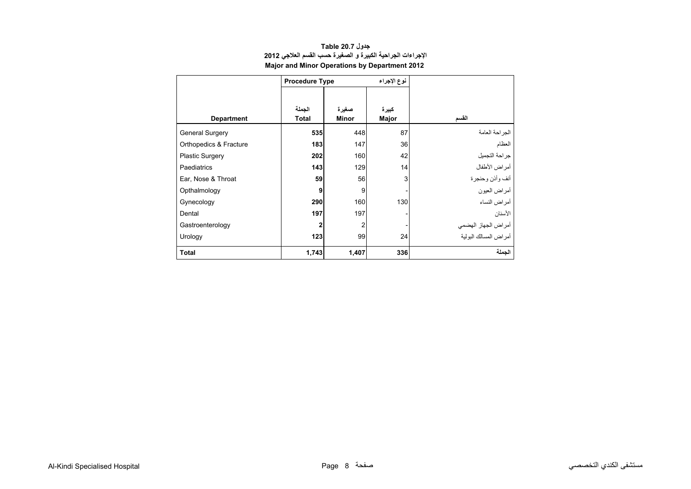<span id="page-6-0"></span>

|                        | <b>Procedure Type</b> |              | نوع الإجراء |                        |
|------------------------|-----------------------|--------------|-------------|------------------------|
|                        |                       |              |             |                        |
|                        | الجملة                | صغيرة        | كبيرة       |                        |
| <b>Department</b>      | <b>Total</b>          | <b>Minor</b> | Major       | القسم                  |
| <b>General Surgery</b> | 535                   | 448          | 87          | الجز احة العامة        |
| Orthopedics & Fracture | 183                   | 147          | 36          | العظام                 |
| <b>Plastic Surgery</b> | 202                   | 160          | 42          | جراحة التجميل          |
| Paediatrics            | 143                   | 129          | 14          | أمراض الأطفال          |
| Ear, Nose & Throat     | 59                    | 56           | 3           | أنف وأذن وحنجرة        |
| Opthalmology           | 9                     | 9            |             | أمراض العيون           |
| Gynecology             | 290                   | 160          | 130         | أمراض النساء           |
| Dental                 | 197                   | 197          |             | الأسنان                |
| Gastroenterology       | $\mathbf 2$           | 2            |             | أمراض الجهاز الهضمي    |
| Urology                | 123                   | 99           | 24          | أمر اض المسالك البولبة |
| <b>Total</b>           | 1,743                 | 1,407        | 336         | الجملة                 |

#### **جدول 20.7 Table اإلجراءات الجراحية الكبيرة <sup>و</sup> الصغيرة حسب القسم العالجي <sup>2012</sup> Major and Minor Operations by Department 2012**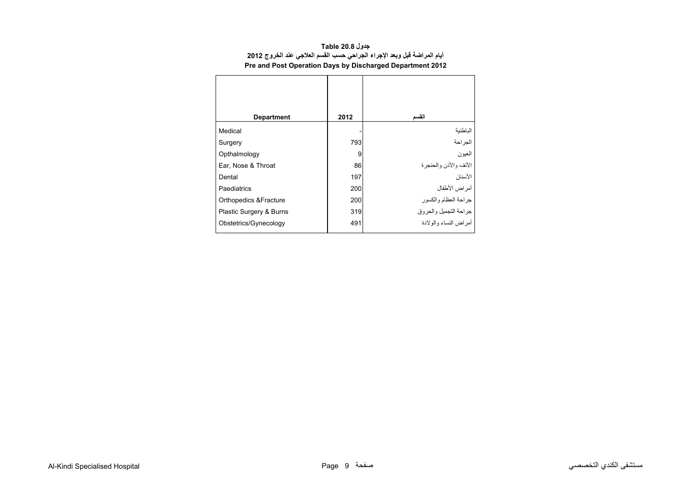<span id="page-7-0"></span>

| <b>Department</b>       | 2012 | القسم                    |
|-------------------------|------|--------------------------|
| Medical                 |      | الباطنية                 |
| Surgery                 | 793  | الجراحة                  |
| Opthalmology            | 9    | العيون                   |
| Ear, Nose & Throat      | 86   | الأنف و الأذن و الحنجر ة |
| Dental                  | 197  | الأسنان                  |
| Paediatrics             | 200  | أمراض الأطفال            |
| Orthopedics & Fracture  | 200  | جراحة العظام والكسور     |
| Plastic Surgery & Burns | 319  | جراحة التجميل والحروق    |
| Obstetrics/Gynecology   | 491  | أمر اض النساء والو لادة  |

#### **جدول 20.8 Table أيام المراضة قبل وبعد اإلجراء الجراحي حسب القسم العالجي عند الخروج <sup>2012</sup> Pre and Post Operation Days by Discharged Department 2012**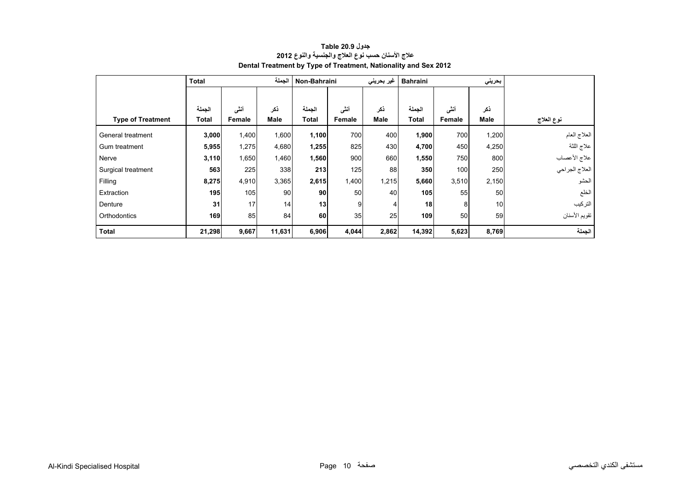<span id="page-8-0"></span>

|                          | <b>Total</b> |        | الجملة | Non-Bahraini |        | غیر بحرینی | <b>Bahraini</b> |        | بحريني |                |
|--------------------------|--------------|--------|--------|--------------|--------|------------|-----------------|--------|--------|----------------|
|                          |              |        |        |              |        |            |                 |        |        |                |
|                          | الجملة       | أننى   | ذكر    | الجملة       | أننى   | نكر        | الجملة          | أنشى   | ذكر    |                |
| <b>Type of Treatment</b> | Total        | Female | Male   | Total        | Female | Male       | <b>Total</b>    | Female | Male   | نوع العلاج     |
| General treatment        | 3,000        | 1,400  | 1,600  | 1,100        | 700    | 400        | 1,900           | 700    | 1,200  | العلاج العام   |
| Gum treatment            | 5,955        | 1,275  | 4,680  | 1,255        | 825    | 430        | 4,700           | 450    | 4,250  | علاج اللثة     |
| Nerve                    | 3,110        | 1,650  | 1,460  | 1,560        | 900    | 660        | 1,550           | 750    | 800    | علاج الأعصاب   |
| Surgical treatment       | 563          | 225    | 338    | 213          | 125    | 88         | 350             | 100    | 250    | العلاج الجراحي |
| Filling                  | 8,275        | 4,910  | 3,365  | 2,615        | 1,400  | 1,215      | 5,660           | 3,510  | 2,150  | الحشو          |
| Extraction               | 195          | 105    | 90     | 90           | 50     | 40         | 105             | 55     | 50     | الخلع          |
| Denture                  | 31           | 17     | 14     | 13           | 9      |            | 18              | 8      | 10     | التركيب        |
| Orthodontics             | 169          | 85     | 84     | 60           | 35     | 25         | 109             | 50     | 59     | تقويم الأسنان  |
| <b>Total</b>             | 21,298       | 9,667  | 11,631 | 6,906        | 4,044  | 2,862      | 14,392          | 5,623  | 8,769  | الجملة         |

#### **جدول 20.9 Table عالج األسنان حسب نوع العالج والجنسية والنوع <sup>2012</sup> Dental Treatment by Type of Treatment, Nationality and Sex 2012**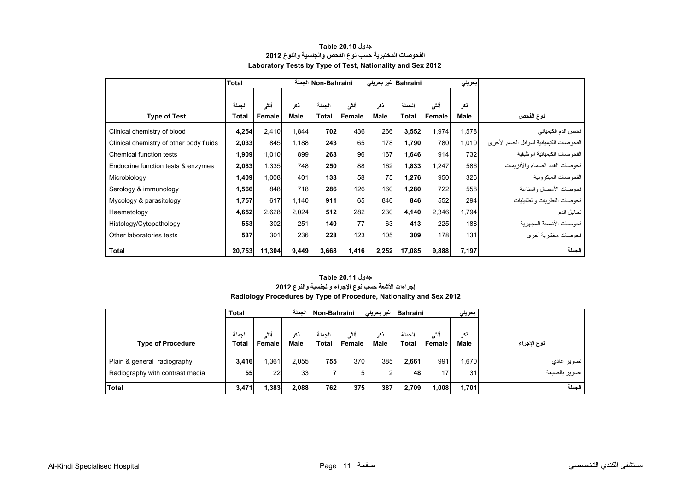<span id="page-9-0"></span>

|                                         | <b>Total</b> |        |             | Non-Bahraini الجملة |        |       | Bahraini غیر بحرینی |        | بحريني      |                                          |
|-----------------------------------------|--------------|--------|-------------|---------------------|--------|-------|---------------------|--------|-------------|------------------------------------------|
|                                         |              |        |             |                     |        |       |                     |        |             |                                          |
|                                         | الحملة       | أنشى   | ذكر         | الجملة              | أنشى   | ذكر   | الجملة              | أنشى   | نكر         |                                          |
| <b>Type of Test</b>                     | Total        | Female | <b>Male</b> | <b>Total</b>        | Female | Male  | Total               | Female | <b>Male</b> | نوع الفحص                                |
| Clinical chemistry of blood             | 4,254        | 2,410  | 1,844       | 702                 | 436    | 266   | 3,552               | 1,974  | 1,578       | فحص الدم الكيميائي                       |
| Clinical chemistry of other body fluids | 2,033        | 845    | 1,188       | 243                 | 65     | 178   | 1,790               | 780    | 1,010       | الفحو صات الكيميائية لسوائل الجسم الأخرى |
| Chemical function tests                 | 1,909        | 1,010  | 899         | 263                 | 96     | 167   | 1,646               | 914    | 732         | الفحوصات الكيميائية الوظيفية             |
| Endocrine function tests & enzymes      | 2,083        | 1,335  | 748         | 250                 | 88     | 162   | 1,833               | 1,247  | 586         | فحو صبات الغدد الصماء و الأنز يمات       |
| Microbiology                            | 1,409        | 1,008  | 401         | 133                 | 58     | 75    | 1,276               | 950    | 326         | الفحو صبات الميكر وبية                   |
| Serology & immunology                   | 1,566        | 848    | 718         | 286                 | 126    | 160   | 1,280               | 722    | 558         | فحوصات الأمصال والمناعة                  |
| Mycology & parasitology                 | 1,757        | 617    | 1,140       | 911                 | 65     | 846   | 846                 | 552    | 294         | فحوصات الفطريات والطفيليات               |
| Haematology                             | 4,652        | 2,628  | 2,024       | 512                 | 282    | 230   | 4,140               | 2,346  | 1,794       | تحاليل الدم                              |
| Histology/Cytopathology                 | 553          | 302    | 251         | 140                 | 77     | 63    | 413                 | 225    | 188         | فحو صبات الأنسجة المجهر ية               |
| Other laboratories tests                | 537          | 301    | 236         | 228                 | 123    | 105   | 309                 | 178    | 131         | فحوصات مختبرية أخرى                      |
| Total                                   | 20,753       | 11,304 | 9,449       | 3,668               | 1,416  | 2,252 | 17,085              | 9,888  | 7,197       | الحملة                                   |

#### **جدول 20.10 Table الفحوصات المختبرية حسب نوع الفحص والجنسية والنوع <sup>2012</sup> Laboratory Tests by Type of Test, Nationality and Sex 2012**

#### **Radiology Procedures by Type of Procedure, Nationality and Sex 2012 جدول 20.11 Table إجراءات األشعة حسب نوع اإلجراء والجنسية والنوع <sup>2012</sup>**

|                                 | <b>Total</b> |                | الحملة      | Non-Bahraini |                 | غیر بحرین <i>ی</i> | <b>Bahraini</b> |                 | بحرينى             |               |
|---------------------------------|--------------|----------------|-------------|--------------|-----------------|--------------------|-----------------|-----------------|--------------------|---------------|
|                                 | لحملة        |                |             | الحملة       |                 |                    | الحملة          |                 |                    |               |
| <b>Type of Procedure</b>        | <b>Total</b> | أنشى<br>Female | ذكر<br>Male | <b>Total</b> | أننسى<br>Female | ذكر<br>Male        | <b>Total</b>    | أنشى<br>Female  | نکر<br><b>Male</b> | نوع الإجراء   |
|                                 |              |                |             |              |                 |                    |                 |                 |                    |               |
| Plain & general radiography     | 3,416        | 361. ا         | 2,055       | 7551         | 370             | 385                | 2,661           | 991             | .670               | تصوير عادي    |
| Radiography with contrast media | 55           | 22             | 33          | 7            | 5               | ົ                  | 48              | 17 <sub>l</sub> | 31                 | تصوير بالصبغة |
| <b>Total</b>                    | 3,471        | 1,383          | 2,088       | 762          | 375             | 387                | 2,709           | 008             | 1,701              | الحملة        |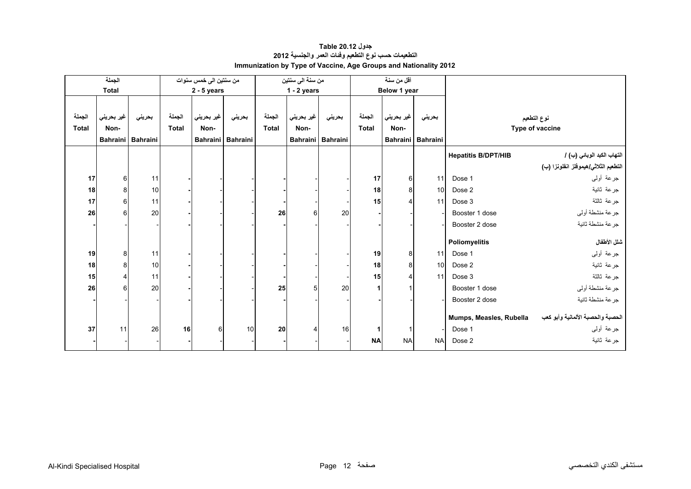<span id="page-10-0"></span>

|              | الجملة           |                   |              | من سنتين الى خمس سنوات |                   |              | من سنة الى سنتين |                   |              | أقل من سنة   |                   |                            |                                      |
|--------------|------------------|-------------------|--------------|------------------------|-------------------|--------------|------------------|-------------------|--------------|--------------|-------------------|----------------------------|--------------------------------------|
|              | <b>Total</b>     |                   |              | $2 - 5$ years          |                   |              | $1 - 2$ years    |                   |              | Below 1 year |                   |                            |                                      |
|              |                  |                   |              |                        |                   |              |                  |                   |              |              |                   |                            |                                      |
| الجملة       | غير بحريني       | بحريني            | الجملة       | غير بحريني             | بحريني            | الجملة       | غير بحريني       | بحريني            | الجملة       | غير بحريني   | بحريني            |                            | نوع التطعيم                          |
| <b>Total</b> | Non-             |                   | <b>Total</b> | Non-                   |                   | <b>Total</b> | Non-             |                   | <b>Total</b> | Non-         |                   |                            | Type of vaccine                      |
|              |                  | Bahraini Bahraini |              |                        | Bahraini Bahraini |              |                  | Bahraini Bahraini |              |              | Bahraini Bahraini |                            |                                      |
|              |                  |                   |              |                        |                   |              |                  |                   |              |              |                   | <b>Hepatitis B/DPT/HIB</b> | التهاب الكبد الوبائي (ب) /           |
|              |                  |                   |              |                        |                   |              |                  |                   |              |              |                   |                            | التطعيم الثلاثي/هيموفلز انفلونزا (ب) |
| 17           | 6                | 11                |              |                        |                   |              |                  |                   | 17           | 6            | 11                | Dose 1                     | جرعة أولىي                           |
| 18           | 8 <sup>1</sup>   | 10                |              |                        |                   |              |                  |                   | 18           | 8            | 10                | Dose 2                     | جرعة ثانية                           |
| 17           | $6 \mid$         | 11                |              |                        |                   |              |                  |                   | 15           | 4            | 11                | Dose 3                     | جرعة ثالثة                           |
| 26           | $6 \overline{6}$ | 20                |              |                        |                   | 26           | 6                | 20                |              |              |                   | Booster 1 dose             | جرعة منشطة أوليي                     |
|              |                  |                   |              |                        |                   |              |                  |                   |              |              |                   | Booster 2 dose             | جرعة منشطة ثانية                     |
|              |                  |                   |              |                        |                   |              |                  |                   |              |              |                   |                            |                                      |
|              |                  |                   |              |                        |                   |              |                  |                   |              |              |                   | Poliomyelitis              | شلل الأطفال                          |
| 19           | 8                | 11                |              |                        |                   |              |                  |                   | 19           | 8            | 11                | Dose 1                     | جرعة أولىي                           |
| 18           | 8                | 10                |              |                        |                   |              |                  |                   | 18           | 8            | 10                | Dose 2                     | جرعة ثانية                           |
| 15           | $\overline{4}$   | 11                |              |                        |                   |              |                  |                   | 15           | 4            | 11                | Dose 3                     | جرعة ثالثة                           |
| 26           | 6                | 20                |              |                        |                   | 25           | 5                | 20                |              |              |                   | Booster 1 dose             | جرعة منشطة أولىي                     |
|              |                  |                   |              |                        |                   |              |                  |                   |              |              |                   | Booster 2 dose             | جرعة منشطة ثانية                     |
|              |                  |                   |              |                        |                   |              |                  |                   |              |              |                   | Mumps, Measles, Rubella    | الحصبة والحصبة الألمانية وأبو كعب    |
| 37           | 11               | 26                | 16           | 6                      | 10                | 20           |                  | 16                |              |              |                   | Dose 1                     | جرعة أولىي                           |
|              |                  |                   |              |                        |                   |              |                  |                   |              |              |                   |                            |                                      |
|              |                  |                   |              |                        |                   |              |                  |                   | <b>NA</b>    | <b>NA</b>    | <b>NA</b>         | Dose 2                     | جر عة ثانية                          |

#### **جدول 20.12 Table التطعيمات حسب نوع التطعيم وفئات العمر والجنسية <sup>2012</sup> Immunization by Type of Vaccine, Age Groups and Nationality 2012**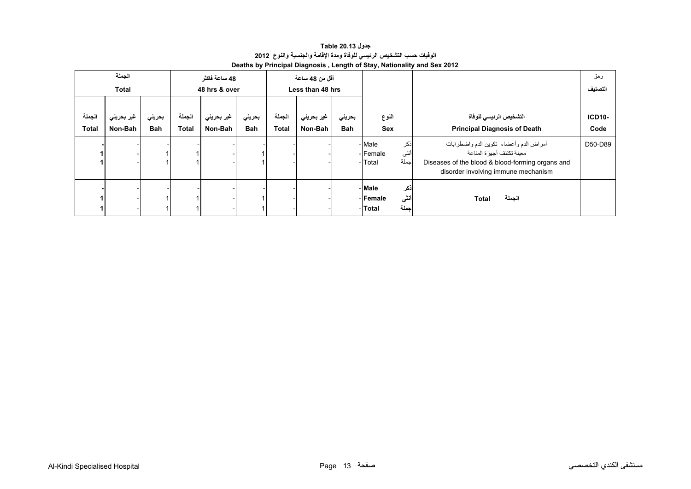**جدول 20.13 Table الوفيات حسب التشخيص الرئيسي للوفاة ومدة اإلقامة والجنسية والنوع<sup>2012</sup> Deaths by Principal Diagnosis , Length of Stay, Nationality and Sex 2012** 

<span id="page-11-0"></span>

|                        | الجملة<br><b>Total</b> |                      |                        | 48 ساعة فاكثر<br>48 hrs & over |                      |                        | أقل من 48 ساعة<br>Less than 48 hrs |                      |                                                       |                                                                                                                                                                 | رمز<br>التصنيف        |
|------------------------|------------------------|----------------------|------------------------|--------------------------------|----------------------|------------------------|------------------------------------|----------------------|-------------------------------------------------------|-----------------------------------------------------------------------------------------------------------------------------------------------------------------|-----------------------|
| الجملة<br><b>Total</b> | غير بحريني<br>Non-Bah  | بحريني<br><b>Bah</b> | الجملة<br><b>Total</b> | غير بحريني<br>Non-Bah          | بحريني<br><b>Bah</b> | الجملة<br><b>Total</b> | غير بحريني<br>Non-Bah              | بحريني<br><b>Bah</b> | النوع<br>Sex                                          | التشخيص الرئيسى للوفاة<br><b>Principal Diagnosis of Death</b>                                                                                                   | <b>ICD10-</b><br>Code |
|                        |                        |                      |                        |                                |                      |                        |                                    |                      | - Male<br>ذكر<br>أنثى<br>- Female<br>جملة<br>- Total  | أمراض الدم وأعضاء تكوين الدم واضطرابات<br>معبنة تكتنف أجهز ة المناعة<br>Diseases of the blood & blood-forming organs and<br>disorder involving immune mechanism | D50-D89               |
|                        |                        |                      |                        |                                |                      |                        |                                    |                      | أذكر<br>- Male<br>أننى<br>-lFemale<br>جملة<br>- Total | الجملة<br>Total                                                                                                                                                 |                       |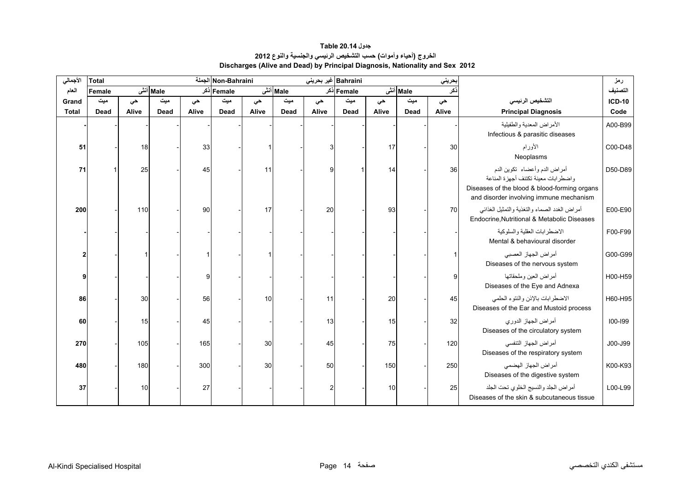#### **جدول 20.14 Table الخروج (أحياء وأموات) حسب التشخيص الرئيسي والجنسية والنوع <sup>2012</sup> Discharges (Alive and Dead) by Principal Diagnosis, Nationality and Sex 2012**

<span id="page-12-0"></span>

| الأجمالي     | <b>Total</b> |       |          |       | Non-Bahraini الجملة |       |          | Bahraini غير بحريني |             |       |          | حريني |                                                                                                                                                                | رمز           |
|--------------|--------------|-------|----------|-------|---------------------|-------|----------|---------------------|-------------|-------|----------|-------|----------------------------------------------------------------------------------------------------------------------------------------------------------------|---------------|
| العام        | Female       |       | Male أنش |       | Female ذکر          |       | Male أنش |                     | Female ذکر  |       | Male أنش | :کر   |                                                                                                                                                                | التصنيف       |
| Grand        | ميت          | حى    | میت      | حي    | میت                 | حى    | میت      | حى                  | میت         | حى    | میت      | حي    | التشخيص الرئيسي                                                                                                                                                | <b>ICD-10</b> |
| <b>Total</b> | Dead         | Alive | Dead     | Alive | <b>Dead</b>         | Alive | Dead     | Alive               | <b>Dead</b> | Alive | Dead     | Alive | <b>Principal Diagnosis</b>                                                                                                                                     | Code          |
|              |              |       |          |       |                     |       |          |                     |             |       |          |       | الأمراض المعدية والطفيلية<br>Infectious & parasitic diseases                                                                                                   | A00-B99       |
| 51           |              | 18    |          | 33    |                     |       |          | 3                   |             | 17    |          | 30    | الأورام<br>Neoplasms                                                                                                                                           | C00-D48       |
| 71           |              | 25    |          | 45    |                     | 11    |          | q                   |             | 14    |          | 36    | أمراض الدم وأعضاء تكوين الدم<br>واضطرابات معينة تكتنف أجهزة المناعة<br>Diseases of the blood & blood-forming organs<br>and disorder involving immune mechanism | D50-D89       |
| 200          |              | 110   |          | 90    |                     | 17    |          | 20                  |             | 93    |          | 70    | أمراض الغدد الصماء والتغذية والتمثيل الغذائبي<br>Endocrine, Nutritional & Metabolic Diseases                                                                   | E00-E90       |
|              |              |       |          |       |                     |       |          |                     |             |       |          |       | الاضطر ابات العقلبة والسلوكبة<br>Mental & behavioural disorder                                                                                                 | F00-F99       |
| 2            |              |       |          |       |                     |       |          |                     |             |       |          |       | أمراض الجهاز العصبي<br>Diseases of the nervous system                                                                                                          | G00-G99       |
|              |              |       |          | c     |                     |       |          |                     |             |       |          |       | أمراض العين وملحقاتها<br>Diseases of the Eye and Adnexa                                                                                                        | H00-H59       |
| 86           |              | 30    |          | 56    |                     | 10    |          | 11                  |             | 20    |          | 45    | الاضطرابات بالإذن والنتوء الحلمي<br>Diseases of the Ear and Mustoid process                                                                                    | H60-H95       |
| 60           |              | 15    |          | 45    |                     |       |          | 13                  |             | 15    |          | 32    | أمراض الجهاز الدوري<br>Diseases of the circulatory system                                                                                                      | 100-199       |
| 270          |              | 105   |          | 165   |                     | 30    |          | 45                  |             | 75    |          | 120   | أمراض الجهاز التنفسي<br>Diseases of the respiratory system                                                                                                     | J00-J99       |
| 480          |              | 180   |          | 300   |                     | 30    |          | 50                  |             | 150   |          | 250   | أمراض الجهاز الهضمى<br>Diseases of the digestive system                                                                                                        | K00-K93       |
| 37           |              | 10    |          | 27    |                     |       |          |                     |             | 10    |          | 25    | أمراض الجلد والنسيج الخلوى تحت الجلد<br>Diseases of the skin & subcutaneous tissue                                                                             | L00-L99       |